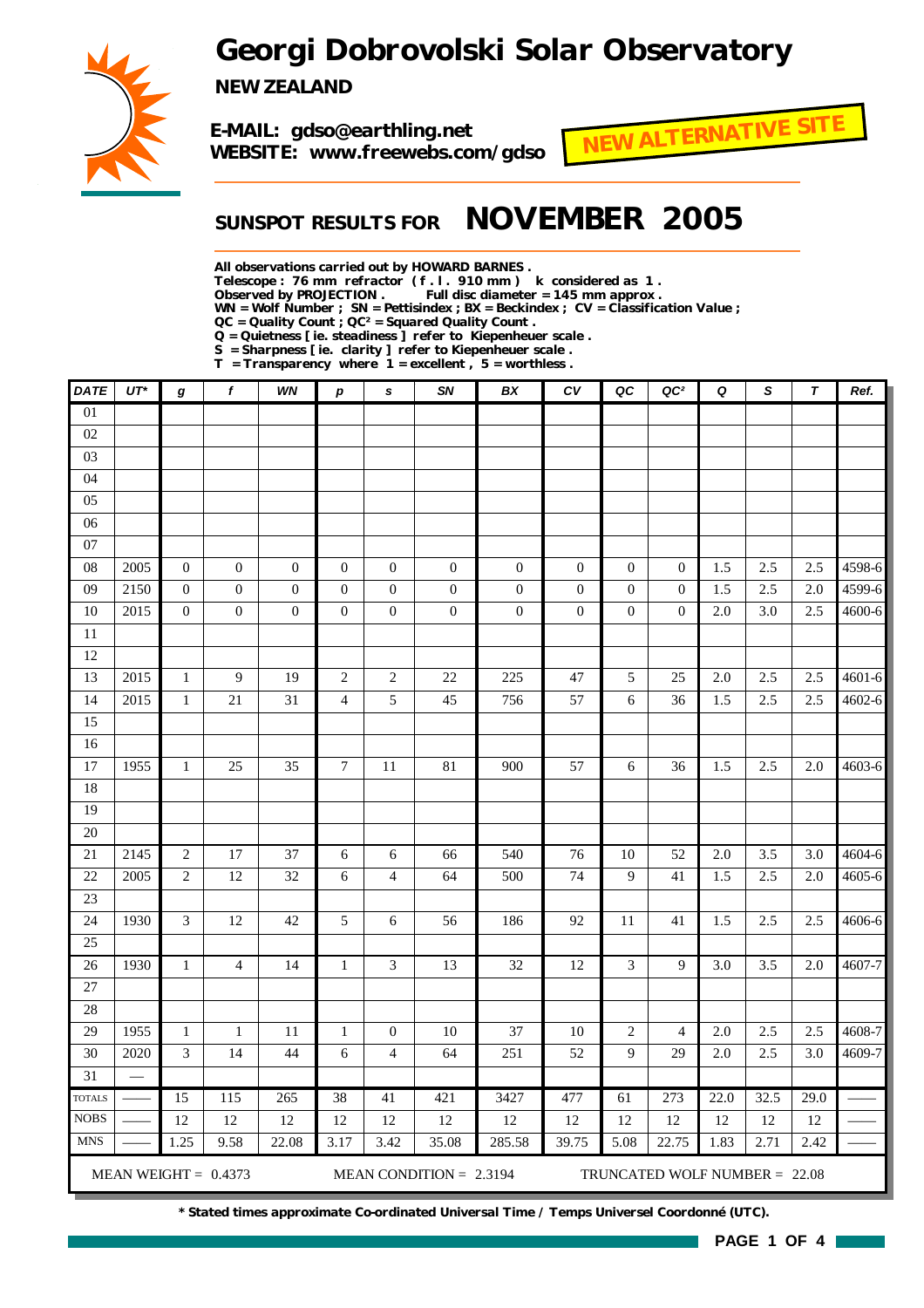## *Georgi Dobrovolski Solar Observatory*



*NEW ZEALAND*

*E-MAIL: gdso@earthling.net WEBSITE: www.freewebs.com/gdso*



### *SUNSPOT RESULTS FOR NOVEMBER 2005*

*All observations carried out by HOWARD BARNES .*

*Telescope : 76 mm refractor ( f . l . 910 mm ) k considered as 1 .*

Full disc diameter = 145 mm approx .

*WN = Wolf Number ; SN = Pettisindex ; BX = Beckindex ; CV = Classification Value ;*

*QC = Quality Count ; QC² = Squared Quality Count .*

*Q = Quietness [ ie. steadiness ] refer to Kiepenheuer scale .*

*S = Sharpness [ ie. clarity ] refer to Kiepenheuer scale . T = Transparency where 1 = excellent , 5 = worthless .*

| <b>DATE</b>                  | $UT^*$ | $\boldsymbol{g}$ | $\mathbf{f}$           | WN               | $\boldsymbol{p}$ | s                        | SN                        | BX               | ${\cal C}{\cal V}$ | QC               | QC <sup>2</sup>               | Q       | $\mathsf{s}$ | $\boldsymbol{\tau}$ | Ref.       |
|------------------------------|--------|------------------|------------------------|------------------|------------------|--------------------------|---------------------------|------------------|--------------------|------------------|-------------------------------|---------|--------------|---------------------|------------|
| $\overline{01}$              |        |                  |                        |                  |                  |                          |                           |                  |                    |                  |                               |         |              |                     |            |
| 02                           |        |                  |                        |                  |                  |                          |                           |                  |                    |                  |                               |         |              |                     |            |
| 03                           |        |                  |                        |                  |                  |                          |                           |                  |                    |                  |                               |         |              |                     |            |
| 04                           |        |                  |                        |                  |                  |                          |                           |                  |                    |                  |                               |         |              |                     |            |
| 05                           |        |                  |                        |                  |                  |                          |                           |                  |                    |                  |                               |         |              |                     |            |
| 06                           |        |                  |                        |                  |                  |                          |                           |                  |                    |                  |                               |         |              |                     |            |
| 07                           |        |                  |                        |                  |                  |                          |                           |                  |                    |                  |                               |         |              |                     |            |
| 08                           | 2005   | $\boldsymbol{0}$ | $\boldsymbol{0}$       | $\boldsymbol{0}$ | $\boldsymbol{0}$ | $\boldsymbol{0}$         | $\boldsymbol{0}$          | $\boldsymbol{0}$ | $\boldsymbol{0}$   | $\boldsymbol{0}$ | $\boldsymbol{0}$              | 1.5     | 2.5          | 2.5                 | 4598-6     |
| 09                           | 2150   | $\boldsymbol{0}$ | $\overline{0}$         | $\boldsymbol{0}$ | $\boldsymbol{0}$ | $\overline{0}$           | $\boldsymbol{0}$          | $\mathbf{0}$     | $\boldsymbol{0}$   | $\mathbf{0}$     | $\mathbf{0}$                  | 1.5     | 2.5          | 2.0                 | 4599-6     |
| 10                           | 2015   | $\boldsymbol{0}$ | $\boldsymbol{0}$       | $\boldsymbol{0}$ | $\boldsymbol{0}$ | $\boldsymbol{0}$         | $\boldsymbol{0}$          | $\boldsymbol{0}$ | $\boldsymbol{0}$   | $\overline{0}$   | $\theta$                      | 2.0     | 3.0          | 2.5                 | 4600-6     |
| 11                           |        |                  |                        |                  |                  |                          |                           |                  |                    |                  |                               |         |              |                     |            |
| 12                           |        |                  |                        |                  |                  |                          |                           |                  |                    |                  |                               |         |              |                     |            |
| 13                           | 2015   | $\mathbf{1}$     | 9                      | 19               | $\sqrt{2}$       | $\overline{c}$           | 22                        | 225              | 47                 | 5                | 25                            | 2.0     | 2.5          | 2.5                 | $4601 - 6$ |
| 14                           | 2015   | $\mathbf{1}$     | 21                     | $31\,$           | $\overline{4}$   | 5                        | 45                        | 756              | 57                 | 6                | 36                            | 1.5     | 2.5          | 2.5                 | $4602 - 6$ |
| 15                           |        |                  |                        |                  |                  |                          |                           |                  |                    |                  |                               |         |              |                     |            |
| 16                           |        |                  |                        |                  |                  |                          |                           |                  |                    |                  |                               |         |              |                     |            |
| 17                           | 1955   | $\mathbf{1}$     | 25                     | 35               | $\tau$           | 11                       | 81                        | 900              | 57                 | 6                | 36                            | 1.5     | 2.5          | 2.0                 | 4603-6     |
| 18                           |        |                  |                        |                  |                  |                          |                           |                  |                    |                  |                               |         |              |                     |            |
| 19                           |        |                  |                        |                  |                  |                          |                           |                  |                    |                  |                               |         |              |                     |            |
| 20                           |        |                  |                        |                  |                  |                          |                           |                  |                    |                  |                               |         |              |                     |            |
| 21                           | 2145   | $\overline{c}$   | 17                     | 37               | 6                | 6                        | 66                        | 540              | 76                 | 10               | 52                            | 2.0     | 3.5          | 3.0                 | 4604-6     |
| 22                           | 2005   | $\overline{c}$   | 12                     | 32               | 6                | $\overline{\mathcal{L}}$ | 64                        | 500              | 74                 | 9                | 41                            | 1.5     | 2.5          | 2.0                 | 4605-6     |
| 23                           |        |                  |                        |                  |                  |                          |                           |                  |                    |                  |                               |         |              |                     |            |
| 24                           | 1930   | 3                | 12                     | 42               | 5                | 6                        | 56                        | 186              | 92                 | 11               | 41                            | 1.5     | 2.5          | 2.5                 | 4606-6     |
| 25                           |        |                  |                        |                  |                  |                          |                           |                  |                    |                  |                               |         |              |                     |            |
| 26                           | 1930   | $\mathbf{1}$     | $\overline{4}$         | 14               | $\mathbf{1}$     | 3                        | 13                        | 32               | 12                 | 3                | 9                             | 3.0     | 3.5          | 2.0                 | 4607-7     |
| 27                           |        |                  |                        |                  |                  |                          |                           |                  |                    |                  |                               |         |              |                     |            |
| 28                           |        |                  |                        |                  |                  |                          |                           |                  |                    |                  |                               |         |              |                     |            |
| 29                           | 1955   | $\mathbf{1}$     | $\mathbf{1}$           | 11               | $\mathbf{1}$     | $\boldsymbol{0}$         | 10                        | 37               | 10                 | $\boldsymbol{2}$ | $\overline{4}$                | 2.0     | 2.5          | 2.5                 | 4608-7     |
| 30                           | 2020   | 3                | 14                     | 44               | 6                | $\overline{4}$           | 64                        | 251              | 52                 | 9                | 29                            | $2.0\,$ | 2.5          | 3.0                 | 4609-7     |
| $\overline{31}$              |        |                  |                        |                  |                  |                          |                           |                  |                    |                  |                               |         |              |                     |            |
| <b>TOTALS</b><br><b>NOBS</b> |        | 15               | 115                    | 265              | 38               | 41                       | 421                       | 3427             | 477                | 61               | 273                           | 22.0    | 32.5         | 29.0                |            |
| <b>MNS</b>                   |        | 12               | 12                     | 12               | 12               | 12                       | 12                        | 12               | 12                 | 12               | 12                            | 12      | 12           | 12                  |            |
|                              |        | 1.25             | 9.58                   | 22.08            | 3.17             | 3.42                     | 35.08                     | 285.58           | 39.75              | 5.08             | 22.75                         | 1.83    | 2.71         | 2.42                |            |
|                              |        |                  | MEAN WEIGHT = $0.4373$ |                  |                  |                          | MEAN CONDITION = $2.3194$ |                  |                    |                  | TRUNCATED WOLF NUMBER = 22.08 |         |              |                     |            |

*\* Stated times approximate Co-ordinated Universal Time / Temps Universel Coordonné (UTC).*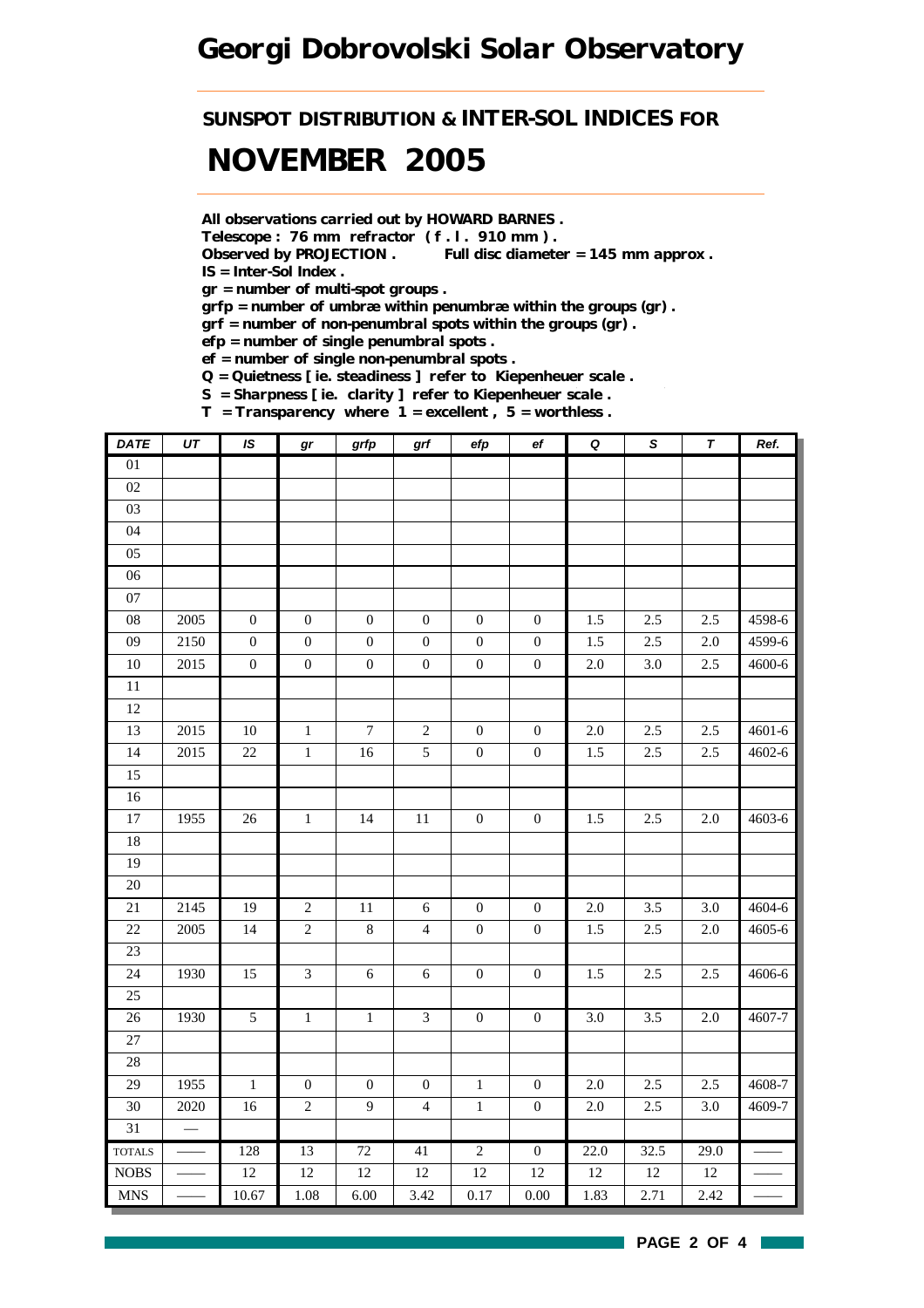## *Georgi Dobrovolski Solar Observatory*

## *SUNSPOT DISTRIBUTION & INTER-SOL INDICES FOR NOVEMBER 2005*

*All observations carried out by HOWARD BARNES .*

*Telescope : 76 mm refractor ( f . l . 910 mm ) .*

*Observed by PROJECTION . Full disc diameter = 145 mm approx . IS = Inter-Sol Index .*

*gr = number of multi-spot groups .*

*grfp = number of umbræ within penumbræ within the groups (gr) .*

*grf = number of non-penumbral spots within the groups (gr) .*

*efp = number of single penumbral spots .*

*ef = number of single non-penumbral spots .*

*Q = Quietness [ ie. steadiness ] refer to Kiepenheuer scale .*

*S = Sharpness [ ie. clarity ] refer to Kiepenheuer scale . T = Transparency where 1 = excellent , 5 = worthless .*

| DATE            | UT   | IS               | gr               | grfp             | grf              | efp              | ef               | Q       | ${\mathcal S}$ | $\overline{\tau}$ | Ref.       |
|-----------------|------|------------------|------------------|------------------|------------------|------------------|------------------|---------|----------------|-------------------|------------|
| $\overline{01}$ |      |                  |                  |                  |                  |                  |                  |         |                |                   |            |
| 02              |      |                  |                  |                  |                  |                  |                  |         |                |                   |            |
| 03              |      |                  |                  |                  |                  |                  |                  |         |                |                   |            |
| 04              |      |                  |                  |                  |                  |                  |                  |         |                |                   |            |
| 05              |      |                  |                  |                  |                  |                  |                  |         |                |                   |            |
| 06              |      |                  |                  |                  |                  |                  |                  |         |                |                   |            |
| $07\,$          |      |                  |                  |                  |                  |                  |                  |         |                |                   |            |
| ${\bf 08}$      | 2005 | $\boldsymbol{0}$ | $\boldsymbol{0}$ | $\boldsymbol{0}$ | $\boldsymbol{0}$ | $\boldsymbol{0}$ | $\boldsymbol{0}$ | 1.5     | 2.5            | 2.5               | 4598-6     |
| 09              | 2150 | $\boldsymbol{0}$ | $\boldsymbol{0}$ | $\boldsymbol{0}$ | $\boldsymbol{0}$ | $\boldsymbol{0}$ | $\boldsymbol{0}$ | 1.5     | 2.5            | 2.0               | 4599-6     |
| 10              | 2015 | $\boldsymbol{0}$ | $\boldsymbol{0}$ | $\boldsymbol{0}$ | $\boldsymbol{0}$ | $\boldsymbol{0}$ | $\boldsymbol{0}$ | $2.0\,$ | 3.0            | 2.5               | 4600-6     |
| 11              |      |                  |                  |                  |                  |                  |                  |         |                |                   |            |
| 12              |      |                  |                  |                  |                  |                  |                  |         |                |                   |            |
| 13              | 2015 | 10               | $\,1$            | $\boldsymbol{7}$ | $\sqrt{2}$       | $\boldsymbol{0}$ | $\boldsymbol{0}$ | $2.0\,$ | 2.5            | 2.5               | $4601 - 6$ |
| 14              | 2015 | $22\,$           | $\,1$            | 16               | $\mathfrak s$    | $\boldsymbol{0}$ | $\boldsymbol{0}$ | 1.5     | $2.5\,$        | $2.5\,$           | 4602-6     |
| 15              |      |                  |                  |                  |                  |                  |                  |         |                |                   |            |
| 16              |      |                  |                  |                  |                  |                  |                  |         |                |                   |            |
| $\overline{17}$ | 1955 | $26\,$           | $1\,$            | 14               | $11\,$           | $\boldsymbol{0}$ | $\boldsymbol{0}$ | 1.5     | $2.5\,$        | $2.0\,$           | 4603-6     |
| 18              |      |                  |                  |                  |                  |                  |                  |         |                |                   |            |
| 19              |      |                  |                  |                  |                  |                  |                  |         |                |                   |            |
| 20              |      |                  |                  |                  |                  |                  |                  |         |                |                   |            |
| $21\,$          | 2145 | 19               | $\sqrt{2}$       | $11\,$           | $\sqrt{6}$       | $\boldsymbol{0}$ | $\boldsymbol{0}$ | $2.0\,$ | 3.5            | 3.0               | 4604-6     |
| $22\,$          | 2005 | 14               | $\sqrt{2}$       | $\,8\,$          | $\overline{4}$   | $\boldsymbol{0}$ | $\boldsymbol{0}$ | 1.5     | 2.5            | $2.0$             | 4605-6     |
| 23              |      |                  |                  |                  |                  |                  |                  |         |                |                   |            |
| 24              | 1930 | 15               | $\mathfrak{Z}$   | $\sqrt{6}$       | $\sqrt{6}$       | $\boldsymbol{0}$ | $\boldsymbol{0}$ | 1.5     | 2.5            | 2.5               | 4606-6     |
| 25              |      |                  |                  |                  |                  |                  |                  |         |                |                   |            |
| 26              | 1930 | $\overline{5}$   | $\,1\,$          | $\,1$            | $\mathfrak{Z}$   | $\boldsymbol{0}$ | $\boldsymbol{0}$ | $3.0\,$ | 3.5            | $2.0\,$           | $4607 - 7$ |
| 27              |      |                  |                  |                  |                  |                  |                  |         |                |                   |            |
| 28              |      |                  |                  |                  |                  |                  |                  |         |                |                   |            |
| 29              | 1955 | $\,1\,$          | $\boldsymbol{0}$ | $\boldsymbol{0}$ | $\boldsymbol{0}$ | $\,1\,$          | $\boldsymbol{0}$ | $2.0\,$ | 2.5            | 2.5               | 4608-7     |
| 30              | 2020 | 16               | $\sqrt{2}$       | 9                | $\overline{4}$   | $\,1\,$          | $\boldsymbol{0}$ | $2.0\,$ | $2.5$          | $3.0\,$           | 4609-7     |
| 31              |      |                  |                  |                  |                  |                  |                  |         |                |                   |            |
| <b>TOTALS</b>   |      | 128              | 13               | 72               | 41               | $\overline{2}$   | $\overline{0}$   | 22.0    | 32.5           | 29.0              |            |
| $\rm{NOBS}$     |      | $12\,$           | $12\,$           | 12               | 12               | 12               | 12               | $12\,$  | 12             | $12\,$            |            |
| <b>MNS</b>      |      | 10.67            | 1.08             | 6.00             | 3.42             | 0.17             | 0.00             | 1.83    | 2.71           | 2.42              |            |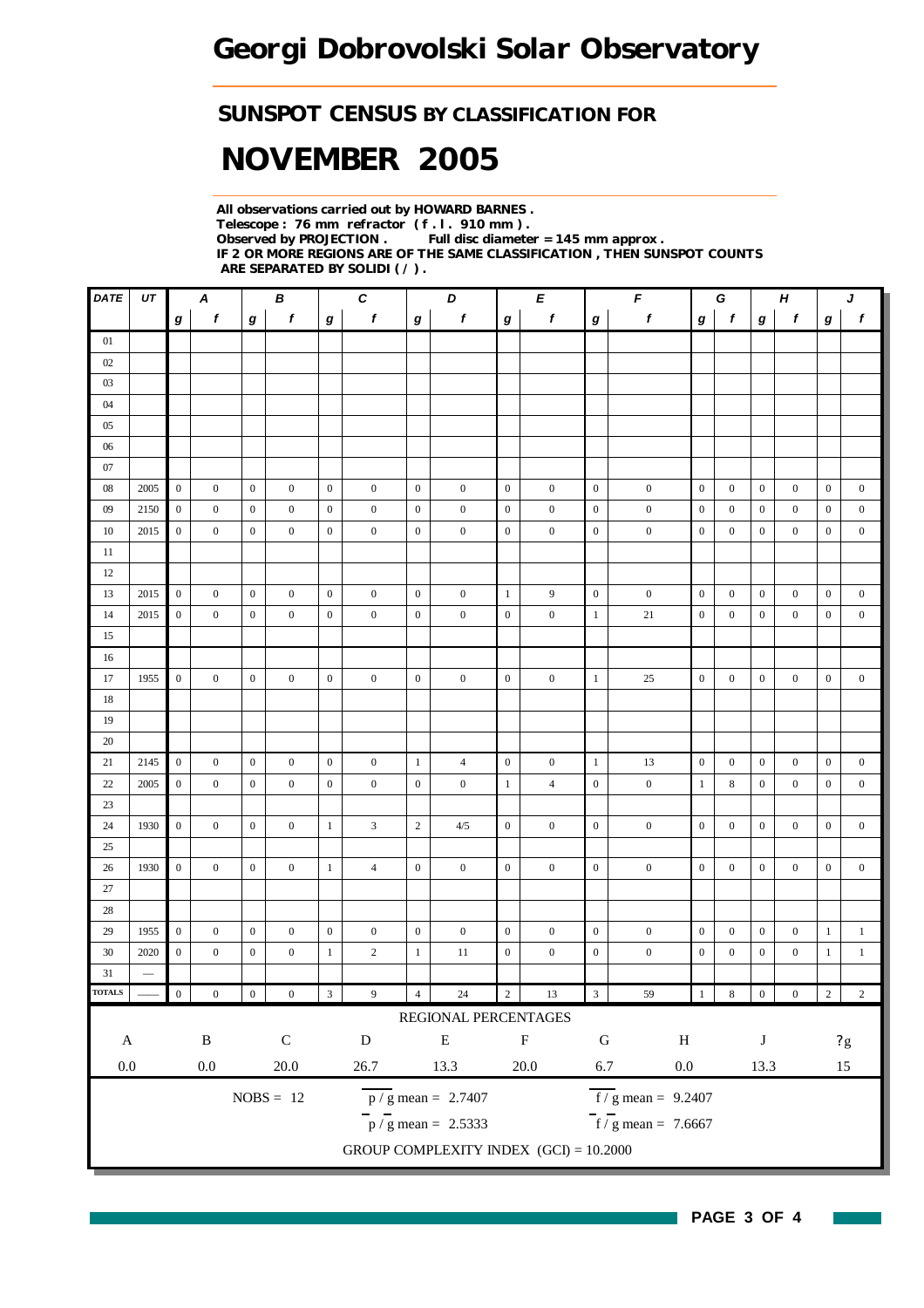### *SUNSPOT CENSUS BY CLASSIFICATION FOR*

# *NOVEMBER 2005*

*All observations carried out by HOWARD BARNES . Telescope : 76 mm refractor ( f . l . 910 mm ) . Full disc diameter = 145 mm approx . IF 2 OR MORE REGIONS ARE OF THE SAME CLASSIFICATION , THEN SUNSPOT COUNTS ARE SEPARATED BY SOLIDI ( / ) .*

| DATE                       | UT                       |                  | Α                |                  | В                |                  | $\pmb{C}$        |                  | D                                         |                  | Е                | $\pmb{\digamma}$<br>$\boldsymbol{H}$<br>G |                                     |                  |                  |                  | J                |                  |                  |
|----------------------------|--------------------------|------------------|------------------|------------------|------------------|------------------|------------------|------------------|-------------------------------------------|------------------|------------------|-------------------------------------------|-------------------------------------|------------------|------------------|------------------|------------------|------------------|------------------|
|                            |                          | g                | $\boldsymbol{f}$ | $\bm{g}$         | f                | $\boldsymbol{g}$ | f                | $\bm{g}$         | f                                         | $\boldsymbol{g}$ | f                | g                                         | f                                   | g                | $\mathbf f$      | $\bm{g}$         | f                | g                | f                |
| 01                         |                          |                  |                  |                  |                  |                  |                  |                  |                                           |                  |                  |                                           |                                     |                  |                  |                  |                  |                  |                  |
| 02                         |                          |                  |                  |                  |                  |                  |                  |                  |                                           |                  |                  |                                           |                                     |                  |                  |                  |                  |                  |                  |
| 03                         |                          |                  |                  |                  |                  |                  |                  |                  |                                           |                  |                  |                                           |                                     |                  |                  |                  |                  |                  |                  |
| 04                         |                          |                  |                  |                  |                  |                  |                  |                  |                                           |                  |                  |                                           |                                     |                  |                  |                  |                  |                  |                  |
| 05                         |                          |                  |                  |                  |                  |                  |                  |                  |                                           |                  |                  |                                           |                                     |                  |                  |                  |                  |                  |                  |
| 06                         |                          |                  |                  |                  |                  |                  |                  |                  |                                           |                  |                  |                                           |                                     |                  |                  |                  |                  |                  |                  |
| 07                         |                          |                  |                  |                  |                  |                  |                  |                  |                                           |                  |                  |                                           |                                     |                  |                  |                  |                  |                  |                  |
| 08                         | 2005                     | $\boldsymbol{0}$ | $\boldsymbol{0}$ | $\boldsymbol{0}$ | $\boldsymbol{0}$ | $\boldsymbol{0}$ | $\boldsymbol{0}$ | $\boldsymbol{0}$ | $\boldsymbol{0}$                          | $\overline{0}$   | $\boldsymbol{0}$ | $\boldsymbol{0}$                          | $\boldsymbol{0}$                    | $\mathbf{0}$     | $\boldsymbol{0}$ | $\boldsymbol{0}$ | $\boldsymbol{0}$ | $\boldsymbol{0}$ | $\boldsymbol{0}$ |
| 09                         | 2150                     | $\boldsymbol{0}$ | $\boldsymbol{0}$ | $\boldsymbol{0}$ | $\boldsymbol{0}$ | $\boldsymbol{0}$ | $\boldsymbol{0}$ | $\boldsymbol{0}$ | $\boldsymbol{0}$                          | $\boldsymbol{0}$ | $\boldsymbol{0}$ | $\boldsymbol{0}$                          | $\boldsymbol{0}$                    | $\mathbf{0}$     | $\boldsymbol{0}$ | $\boldsymbol{0}$ | $\boldsymbol{0}$ | $\boldsymbol{0}$ | $\boldsymbol{0}$ |
| 10                         | 2015                     | $\boldsymbol{0}$ | $\mathbf{0}$     | $\boldsymbol{0}$ | $\mathbf{0}$     | $\boldsymbol{0}$ | $\boldsymbol{0}$ | $\boldsymbol{0}$ | $\boldsymbol{0}$                          | $\mathbf{0}$     | $\boldsymbol{0}$ | $\boldsymbol{0}$                          | $\boldsymbol{0}$                    | $\boldsymbol{0}$ | $\mathbf{0}$     | $\boldsymbol{0}$ | $\overline{0}$   | $\boldsymbol{0}$ | $\boldsymbol{0}$ |
| 11                         |                          |                  |                  |                  |                  |                  |                  |                  |                                           |                  |                  |                                           |                                     |                  |                  |                  |                  |                  |                  |
| 12                         |                          |                  |                  |                  |                  |                  |                  |                  |                                           |                  |                  |                                           |                                     |                  |                  |                  |                  |                  |                  |
| 13                         | 2015                     | $\overline{0}$   | $\boldsymbol{0}$ | $\boldsymbol{0}$ | $\boldsymbol{0}$ | $\mathbf{0}$     | $\boldsymbol{0}$ | $\boldsymbol{0}$ | $\boldsymbol{0}$                          | $\mathbf{1}$     | 9                | $\boldsymbol{0}$                          | $\boldsymbol{0}$                    | $\boldsymbol{0}$ | $\mathbf{0}$     | $\boldsymbol{0}$ | $\overline{0}$   | $\boldsymbol{0}$ | $\boldsymbol{0}$ |
| 14                         | 2015                     | $\boldsymbol{0}$ | $\boldsymbol{0}$ | $\boldsymbol{0}$ | $\mathbf{0}$     | $\boldsymbol{0}$ | $\boldsymbol{0}$ | $\boldsymbol{0}$ | $\boldsymbol{0}$                          | $\boldsymbol{0}$ | $\boldsymbol{0}$ | $\mathbf{1}$                              | $21\,$                              | $\boldsymbol{0}$ | $\boldsymbol{0}$ | $\boldsymbol{0}$ | $\boldsymbol{0}$ | $\boldsymbol{0}$ | $\boldsymbol{0}$ |
| 15                         |                          |                  |                  |                  |                  |                  |                  |                  |                                           |                  |                  |                                           |                                     |                  |                  |                  |                  |                  |                  |
| 16                         |                          |                  |                  |                  |                  |                  |                  |                  |                                           |                  |                  |                                           |                                     |                  |                  |                  |                  |                  |                  |
| 17                         | 1955                     | $\overline{0}$   | $\boldsymbol{0}$ | $\boldsymbol{0}$ | $\boldsymbol{0}$ | $\boldsymbol{0}$ | $\boldsymbol{0}$ | $\boldsymbol{0}$ | $\boldsymbol{0}$                          | $\mathbf{0}$     | $\boldsymbol{0}$ | $\mathbf{1}$                              | 25                                  | $\boldsymbol{0}$ | $\boldsymbol{0}$ | $\boldsymbol{0}$ | $\overline{0}$   | $\boldsymbol{0}$ | $\boldsymbol{0}$ |
| 18                         |                          |                  |                  |                  |                  |                  |                  |                  |                                           |                  |                  |                                           |                                     |                  |                  |                  |                  |                  |                  |
| 19<br>20                   |                          |                  |                  |                  |                  |                  |                  |                  |                                           |                  |                  |                                           |                                     |                  |                  |                  |                  |                  |                  |
| 21                         | 2145                     | $\boldsymbol{0}$ | $\boldsymbol{0}$ | $\boldsymbol{0}$ | $\boldsymbol{0}$ | $\mathbf{0}$     | $\boldsymbol{0}$ | $\mathbf{1}$     | $\overline{4}$                            | $\boldsymbol{0}$ | $\boldsymbol{0}$ | $\mathbf{1}$                              | 13                                  | $\boldsymbol{0}$ | $\boldsymbol{0}$ | $\boldsymbol{0}$ | $\boldsymbol{0}$ | $\boldsymbol{0}$ | $\boldsymbol{0}$ |
| 22                         | 2005                     | $\boldsymbol{0}$ | $\boldsymbol{0}$ | $\boldsymbol{0}$ | $\mathbf{0}$     | $\mathbf{0}$     | $\mathbf{0}$     | $\boldsymbol{0}$ | $\boldsymbol{0}$                          | $\mathbf{1}$     | $\overline{4}$   | $\boldsymbol{0}$                          | $\boldsymbol{0}$                    | $\mathbf{1}$     | 8                | $\boldsymbol{0}$ | $\mathbf{0}$     | $\boldsymbol{0}$ | $\boldsymbol{0}$ |
| 23                         |                          |                  |                  |                  |                  |                  |                  |                  |                                           |                  |                  |                                           |                                     |                  |                  |                  |                  |                  |                  |
| 24                         | 1930                     | $\boldsymbol{0}$ | $\boldsymbol{0}$ | $\mathbf{0}$     | $\boldsymbol{0}$ | $\mathbf{1}$     | $\mathfrak{Z}$   | $\sqrt{2}$       | 4/5                                       | $\boldsymbol{0}$ | $\boldsymbol{0}$ | $\boldsymbol{0}$                          | $\boldsymbol{0}$                    | $\mathbf{0}$     | $\boldsymbol{0}$ | $\boldsymbol{0}$ | $\boldsymbol{0}$ | $\boldsymbol{0}$ | $\boldsymbol{0}$ |
| 25                         |                          |                  |                  |                  |                  |                  |                  |                  |                                           |                  |                  |                                           |                                     |                  |                  |                  |                  |                  |                  |
| 26                         | 1930                     | $\boldsymbol{0}$ | $\overline{0}$   | $\mathbf{0}$     | $\mathbf{0}$     | $\mathbf{1}$     | $\overline{4}$   | $\boldsymbol{0}$ | $\boldsymbol{0}$                          | $\mathbf{0}$     | $\mathbf{0}$     | $\boldsymbol{0}$                          | $\boldsymbol{0}$                    | $\mathbf{0}$     | $\mathbf{0}$     | $\boldsymbol{0}$ | $\overline{0}$   | $\mathbf{0}$     | $\boldsymbol{0}$ |
| 27                         |                          |                  |                  |                  |                  |                  |                  |                  |                                           |                  |                  |                                           |                                     |                  |                  |                  |                  |                  |                  |
| 28                         |                          |                  |                  |                  |                  |                  |                  |                  |                                           |                  |                  |                                           |                                     |                  |                  |                  |                  |                  |                  |
| 29                         | 1955                     | $\boldsymbol{0}$ | $\boldsymbol{0}$ | $\boldsymbol{0}$ | $\boldsymbol{0}$ | $\boldsymbol{0}$ | $\boldsymbol{0}$ | $\boldsymbol{0}$ | $\boldsymbol{0}$                          | $\boldsymbol{0}$ | $\boldsymbol{0}$ | $\boldsymbol{0}$                          | $\boldsymbol{0}$                    | $\boldsymbol{0}$ | $\boldsymbol{0}$ | $\boldsymbol{0}$ | $\boldsymbol{0}$ | $\mathbf{1}$     | $\mathbf{1}$     |
| 30                         | 2020                     | $\boldsymbol{0}$ | $\boldsymbol{0}$ | $\boldsymbol{0}$ | $\boldsymbol{0}$ | $\mathbf{1}$     | $\overline{c}$   | $\mathbf{1}$     | 11                                        | $\boldsymbol{0}$ | $\boldsymbol{0}$ | $\boldsymbol{0}$                          | $\boldsymbol{0}$                    | $\boldsymbol{0}$ | $\boldsymbol{0}$ | $\boldsymbol{0}$ | $\boldsymbol{0}$ | $\mathbf{1}$     | $\mathbf{1}$     |
| 31                         | $\overline{\phantom{0}}$ |                  |                  |                  |                  |                  |                  |                  |                                           |                  |                  |                                           |                                     |                  |                  |                  |                  |                  |                  |
| $\overline{\text{TOTALS}}$ |                          | $\boldsymbol{0}$ | $\boldsymbol{0}$ | $\boldsymbol{0}$ | $\boldsymbol{0}$ | $\mathbf{3}$     | $\overline{9}$   | $\overline{4}$   | $24\,$                                    | $\sqrt{2}$       | $13\,$           | $\overline{\mathbf{3}}$                   | 59                                  | $\mathbf{1}$     | $\,$ 8 $\,$      | $\boldsymbol{0}$ | $\boldsymbol{0}$ | $\overline{2}$   | $\sqrt{2}$       |
|                            |                          |                  |                  |                  |                  |                  |                  |                  | REGIONAL PERCENTAGES                      |                  |                  |                                           |                                     |                  |                  |                  |                  |                  |                  |
| $\boldsymbol{\mathsf{A}}$  |                          |                  | $\, {\bf B}$     |                  | $\mathsf C$      |                  | ${\bf D}$        |                  | ${\bf E}$                                 |                  | $\mathbf F$      | ${\bf G}$                                 | $\, {\rm H}$                        |                  |                  | $\bf J$          |                  |                  | $2\,\mathrm g$   |
| $0.0\,$                    |                          |                  | $0.0\,$          |                  | $20.0\,$         |                  | 26.7             |                  | 13.3                                      |                  | $20.0\,$         | 6.7                                       | $0.0\,$                             |                  |                  | 13.3             |                  |                  | 15               |
|                            |                          |                  |                  |                  |                  |                  |                  |                  |                                           |                  |                  |                                           |                                     |                  |                  |                  |                  |                  |                  |
|                            |                          |                  |                  |                  | $NOBS = 12$      |                  |                  |                  | $\frac{\text{p}}{\text{s}}$ mean = 2.7407 |                  |                  |                                           | $f / g$ mean = 9.2407               |                  |                  |                  |                  |                  |                  |
|                            |                          |                  |                  |                  |                  |                  |                  |                  | $\frac{1}{p}$ / g mean = 2.5333           |                  |                  |                                           | $\frac{1}{\pi}$ f / g mean = 7.6667 |                  |                  |                  |                  |                  |                  |
|                            |                          |                  |                  |                  |                  |                  |                  |                  | GROUP COMPLEXITY INDEX $(GCI) = 10.2000$  |                  |                  |                                           |                                     |                  |                  |                  |                  |                  |                  |